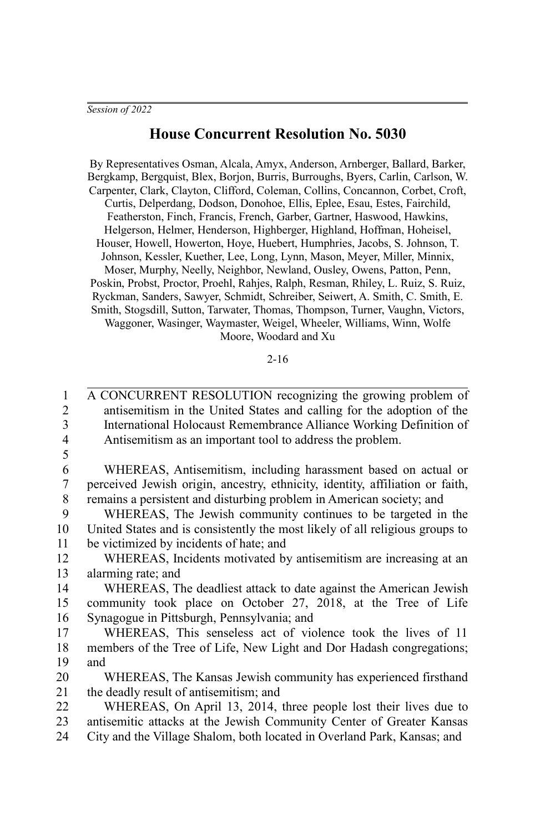## **House Concurrent Resolution No. 5030**

By Representatives Osman, Alcala, Amyx, Anderson, Arnberger, Ballard, Barker, Bergkamp, Bergquist, Blex, Borjon, Burris, Burroughs, Byers, Carlin, Carlson, W. Carpenter, Clark, Clayton, Clifford, Coleman, Collins, Concannon, Corbet, Croft, Curtis, Delperdang, Dodson, Donohoe, Ellis, Eplee, Esau, Estes, Fairchild, Featherston, Finch, Francis, French, Garber, Gartner, Haswood, Hawkins, Helgerson, Helmer, Henderson, Highberger, Highland, Hoffman, Hoheisel, Houser, Howell, Howerton, Hoye, Huebert, Humphries, Jacobs, S. Johnson, T. Johnson, Kessler, Kuether, Lee, Long, Lynn, Mason, Meyer, Miller, Minnix, Moser, Murphy, Neelly, Neighbor, Newland, Ousley, Owens, Patton, Penn, Poskin, Probst, Proctor, Proehl, Rahjes, Ralph, Resman, Rhiley, L. Ruiz, S. Ruiz, Ryckman, Sanders, Sawyer, Schmidt, Schreiber, Seiwert, A. Smith, C. Smith, E. Smith, Stogsdill, Sutton, Tarwater, Thomas, Thompson, Turner, Vaughn, Victors, Waggoner, Wasinger, Waymaster, Weigel, Wheeler, Williams, Winn, Wolfe Moore, Woodard and Xu

2-16

A CONCURRENT RESOLUTION recognizing the growing problem of antisemitism in the United States and calling for the adoption of the International Holocaust Remembrance Alliance Working Definition of Antisemitism as an important tool to address the problem. WHEREAS, Antisemitism, including harassment based on actual or perceived Jewish origin, ancestry, ethnicity, identity, affiliation or faith, remains a persistent and disturbing problem in American society; and WHEREAS, The Jewish community continues to be targeted in the United States and is consistently the most likely of all religious groups to be victimized by incidents of hate; and WHEREAS, Incidents motivated by antisemitism are increasing at an alarming rate; and WHEREAS, The deadliest attack to date against the American Jewish community took place on October 27, 2018, at the Tree of Life Synagogue in Pittsburgh, Pennsylvania; and WHEREAS, This senseless act of violence took the lives of 11 members of the Tree of Life, New Light and Dor Hadash congregations; and WHEREAS, The Kansas Jewish community has experienced firsthand the deadly result of antisemitism; and WHEREAS, On April 13, 2014, three people lost their lives due to antisemitic attacks at the Jewish Community Center of Greater Kansas City and the Village Shalom, both located in Overland Park, Kansas; and 1  $\mathfrak{D}$ 3 4 5 6 7 8 9 10 11 12 13 14 15 16 17 18 19 20 21 22 23 24